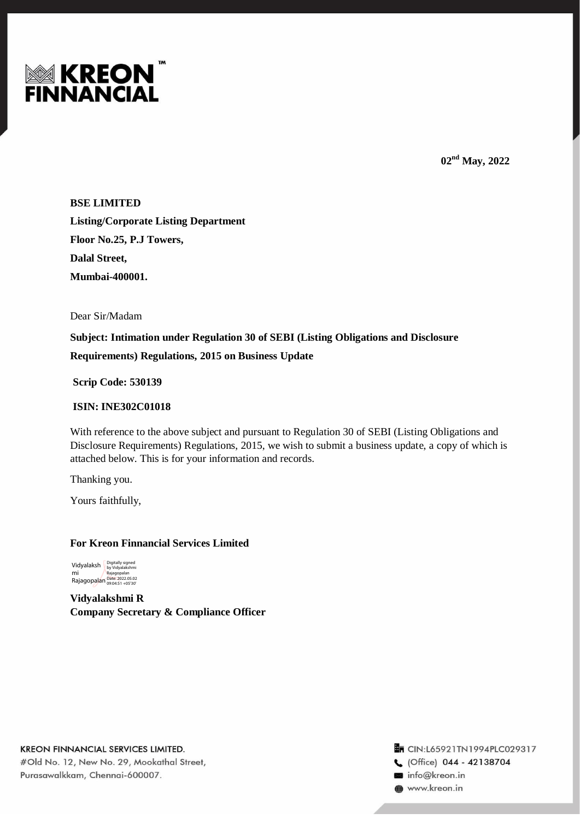

**02nd May, 2022** 

**BSE LIMITED Listing/Corporate Listing Department Floor No.25, P.J Towers, Dalal Street, Mumbai-400001.** 

Dear Sir/Madam

**Subject: Intimation under Regulation 30 of SEBI (Listing Obligations and Disclosure Requirements) Regulations, 2015 on Business Update**

**Scrip Code: 530139**

#### **ISIN: INE302C01018**

With reference to the above subject and pursuant to Regulation 30 of SEBI (Listing Obligations and Disclosure Requirements) Regulations, 2015, we wish to submit a business update, a copy of which is attached below. This is for your information and records.

Thanking you.

Yours faithfully,

#### **For Kreon Finnancial Services Limited**

Vidyalaksh mi Rajagopalan Digitally signed by Vidyalakshmi Rajagopalan Date: 2022.05.02 09:04:51 +05'30'

**Vidyalakshmi R Company Secretary & Compliance Officer**

**KREON FINNANCIAL SERVICES LIMITED.** #Old No. 12, New No. 29, Mookathal Street, Purasawalkkam, Chennai-600007.

TR CIN:L65921TN1994PLC029317 C (Office) 044 - 42138704 info@kreon.in www.kreon.in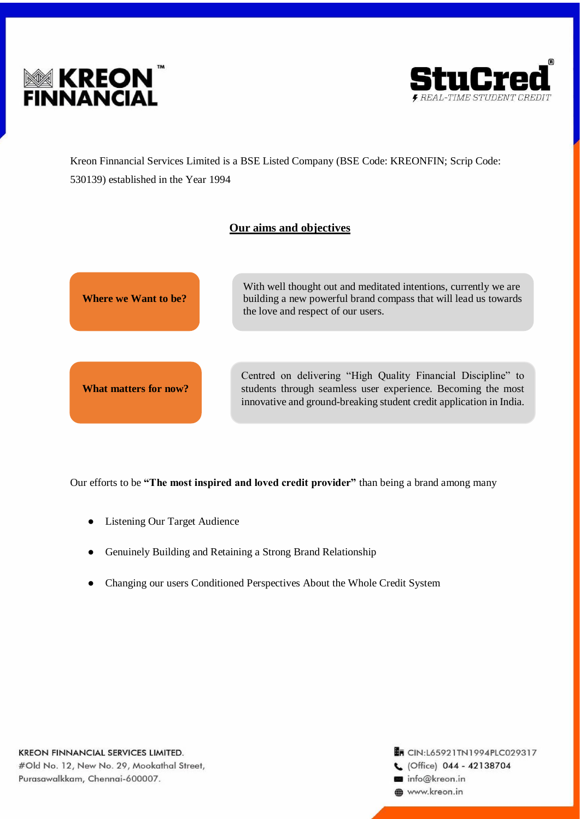



Kreon Finnancial Services Limited is a BSE Listed Company (BSE Code: KREONFIN; Scrip Code: 530139) established in the Year 1994

### **Our aims and objectives**



Our efforts to be **"The most inspired and loved credit provider"** than being a brand among many

- Listening Our Target Audience
- Genuinely Building and Retaining a Strong Brand Relationship
- Changing our users Conditioned Perspectives About the Whole Credit System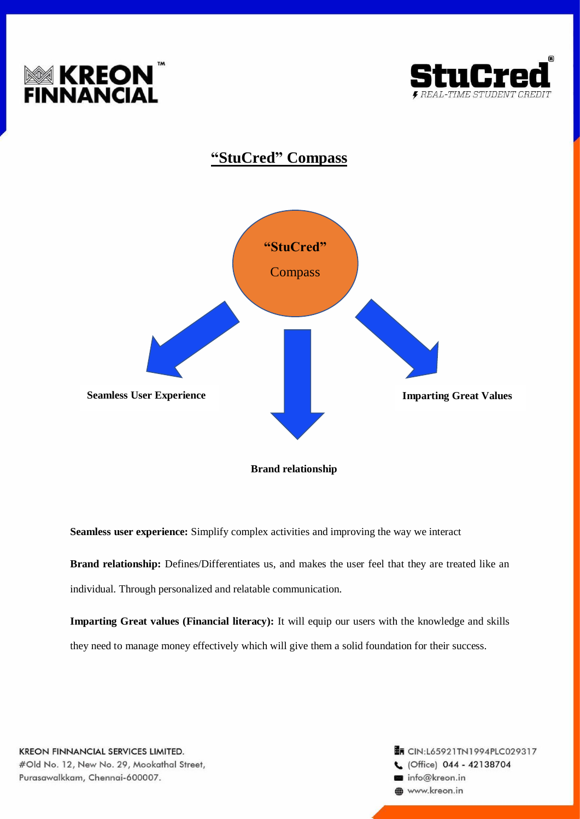



# **"StuCred" Compass**



**Seamless user experience:** Simplify complex activities and improving the way we interact

Brand relationship: Defines/Differentiates us, and makes the user feel that they are treated like an individual. Through personalized and relatable communication.

**Imparting Great values (Financial literacy):** It will equip our users with the knowledge and skills they need to manage money effectively which will give them a solid foundation for their success.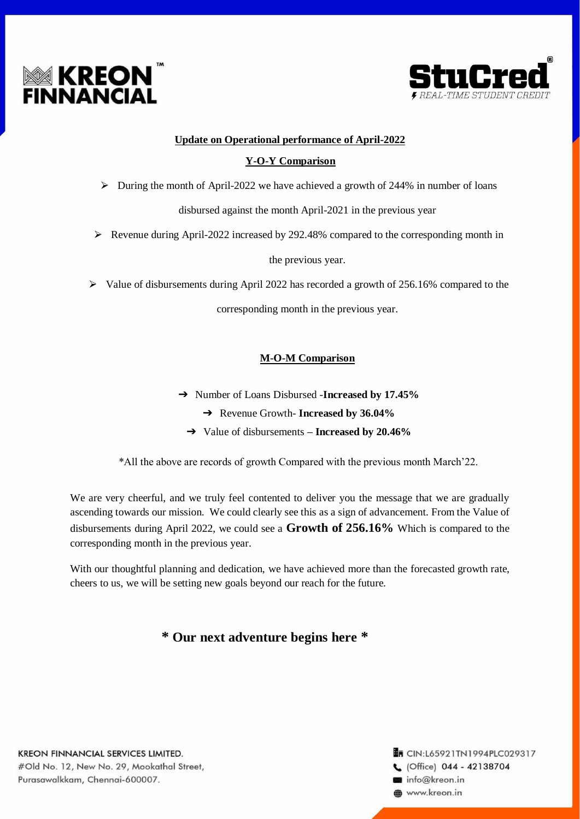



## **Update on Operational performance of April-2022**

## **Y-O-Y Comparison**

 $\triangleright$  During the month of April-2022 we have achieved a growth of 244% in number of loans

disbursed against the month April-2021 in the previous year

 $\triangleright$  Revenue during April-2022 increased by 292.48% compared to the corresponding month in

the previous year.

⮚ Value of disbursements during April 2022 has recorded a growth of 256.16% compared to the

corresponding month in the previous year.

## **M-O-M Comparison**

- ➔ Number of Loans Disbursed -**Increased by 17.45%** 
	- ➔ Revenue Growth- **Increased by 36.04%**
	- ➔ Value of disbursements **– Increased by 20.46%**

\*All the above are records of growth Compared with the previous month March'22.

We are very cheerful, and we truly feel contented to deliver you the message that we are gradually ascending towards our mission. We could clearly see this as a sign of advancement. From the Value of disbursements during April 2022, we could see a **Growth of 256.16%** Which is compared to the corresponding month in the previous year.

With our thoughtful planning and dedication, we have achieved more than the forecasted growth rate, cheers to us, we will be setting new goals beyond our reach for the future.

## **\* Our next adventure begins here \***

**KREON FINNANCIAL SERVICES LIMITED.** #Old No. 12, New No. 29, Mookathal Street, Purasawalkkam, Chennai-600007.